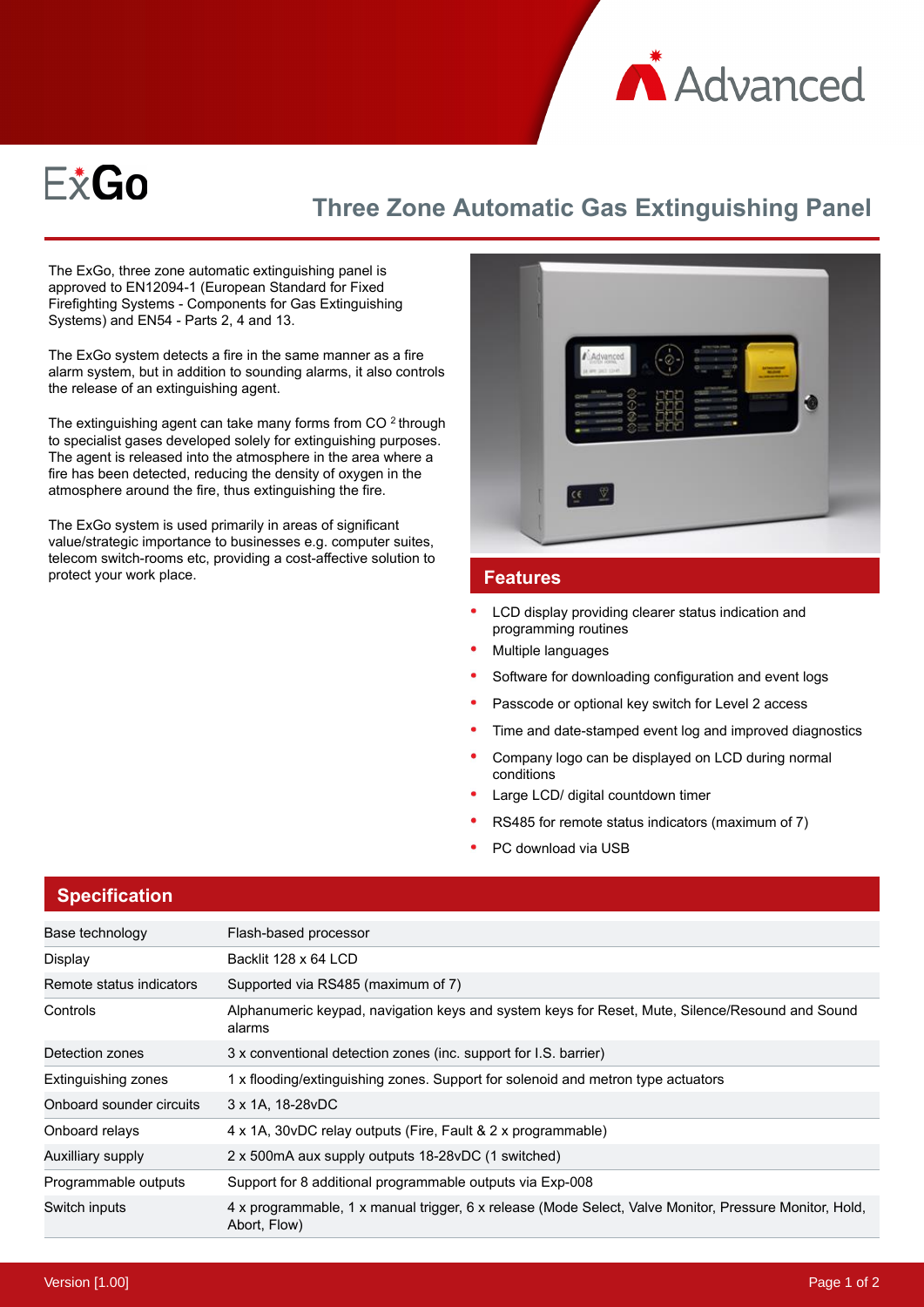



## **Three Zone Automatic Gas Extinguishing Panel**

The ExGo, three zone automatic extinguishing panel is approved to EN12094-1 (European Standard for Fixed Firefighting Systems - Components for Gas Extinguishing Systems) and EN54 - Parts 2, 4 and 13.

The ExGo system detects a fire in the same manner as a fire alarm system, but in addition to sounding alarms, it also controls the release of an extinguishing agent.

The extinguishing agent can take many forms from CO  $2$  through to specialist gases developed solely for extinguishing purposes. The agent is released into the atmosphere in the area where a fire has been detected, reducing the density of oxygen in the atmosphere around the fire, thus extinguishing the fire.

The ExGo system is used primarily in areas of significant value/strategic importance to businesses e.g. computer suites, telecom switch-rooms etc, providing a cost-affective solution to protect your work place. **Features** 



- LCD display providing clearer status indication and programming routines
- Multiple languages
- Software for downloading configuration and event logs
- Passcode or optional key switch for Level 2 access
- Time and date-stamped event log and improved diagnostics
- Company logo can be displayed on LCD during normal conditions
- Large LCD/ digital countdown timer
- RS485 for remote status indicators (maximum of 7)
- PC download via USB

## **Specification**

| Base technology          | Flash-based processor                                                                                                  |  |
|--------------------------|------------------------------------------------------------------------------------------------------------------------|--|
| Display                  | Backlit 128 x 64 LCD                                                                                                   |  |
| Remote status indicators | Supported via RS485 (maximum of 7)                                                                                     |  |
| Controls                 | Alphanumeric keypad, navigation keys and system keys for Reset, Mute, Silence/Resound and Sound<br>alarms              |  |
| Detection zones          | 3 x conventional detection zones (inc. support for I.S. barrier)                                                       |  |
| Extinguishing zones      | 1 x flooding/extinguishing zones. Support for solenoid and metron type actuators                                       |  |
| Onboard sounder circuits | 3 x 1A, 18-28 vDC                                                                                                      |  |
| Onboard relays           | 4 x 1A, 30 vDC relay outputs (Fire, Fault & 2 x programmable)                                                          |  |
| Auxilliary supply        | 2 x 500 mA aux supply outputs 18-28 vDC (1 switched)                                                                   |  |
| Programmable outputs     | Support for 8 additional programmable outputs via Exp-008                                                              |  |
| Switch inputs            | 4 x programmable, 1 x manual trigger, 6 x release (Mode Select, Valve Monitor, Pressure Monitor, Hold,<br>Abort, Flow) |  |